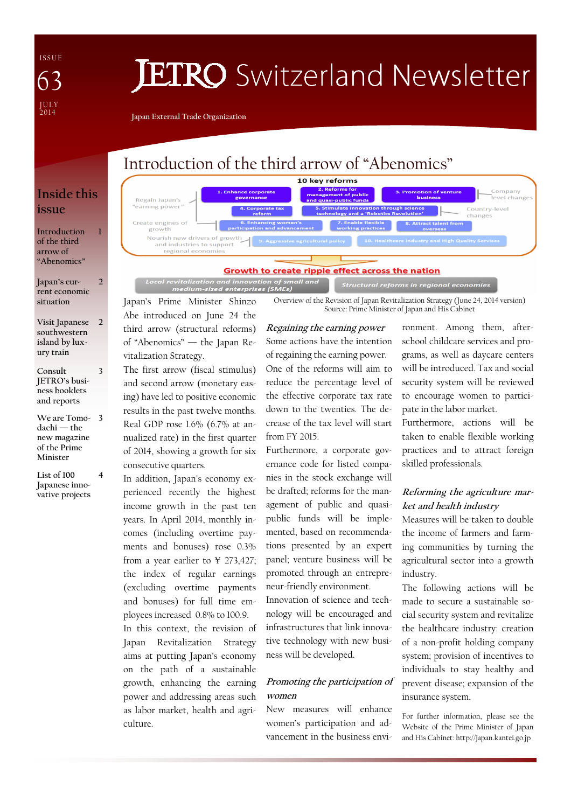I S S U E J U L Y<br>2014 63

# **JETRO** Switzerland Newsletter

Japan External Trade Organization

# Introduction of the third arrow of "Abenomics"

## Inside this issue

1

 $\overline{\mathcal{L}}$ 

3

Introduction of the third arrow of "Abenomics"

Japan's current economic situation

- Visit Japanese southwestern island by luxury train 2
- Consult JETRO's business booklets and reports
- We are Tomo-3 dachi — the new magazine of the Prime Minister
- List of 100 Japanese innovative projects 4

10 key reforms Company a nerorms for<br>agement of public<br>quasi-public funds busin -<br>Jevel change Regain Japan's earning power Country-level innovation throug<br>and a 'Robotics Re .<br>changes Create engines of<br>growth Nourish new drivers of growth and industries to support regional economie

#### Growth to create ripple effect across the nation

f small and Structural reforms in regional economies

Overview of the Revision of Japan Revitalization Strategy (June 24, 2014 version) Source: Prime Minister of Japan and His Cabinet

Japan's Prime Minister Shinzo Abe introduced on June 24 the third arrow (structural reforms) of "Abenomics" — the Japan Revitalization Strategy.

The first arrow (fiscal stimulus) and second arrow (monetary easing) have led to positive economic results in the past twelve months. Real GDP rose 1.6% (6.7% at annualized rate) in the first quarter of 2014, showing a growth for six consecutive quarters.

In addition, Japan's economy experienced recently the highest income growth in the past ten years. In April 2014, monthly incomes (including overtime payments and bonuses) rose 0.3% from a year earlier to ¥ 273,427; the index of regular earnings (excluding overtime payments and bonuses) for full time employees increased 0.8% to 100.9. In this context, the revision of Japan Revitalization Strategy aims at putting Japan's economy

on the path of a sustainable growth, enhancing the earning power and addressing areas such as labor market, health and agriculture.

Regaining the earning power Some actions have the intention of regaining the earning power. One of the reforms will aim to reduce the percentage level of the effective corporate tax rate down to the twenties. The decrease of the tax level will start from FY 2015.

Furthermore, a corporate governance code for listed companies in the stock exchange will be drafted; reforms for the management of public and quasipublic funds will be implemented, based on recommendations presented by an expert panel; venture business will be promoted through an entrepreneur-friendly environment. Innovation of science and technology will be encouraged and infrastructures that link innovative technology with new business will be developed.

#### Promoting the participation of women

New measures will enhance women's participation and advancement in the business environment. Among them, afterschool childcare services and programs, as well as daycare centers will be introduced. Tax and social security system will be reviewed to encourage women to participate in the labor market.

Furthermore, actions will be taken to enable flexible working practices and to attract foreign skilled professionals.

#### Reforming the agriculture market and health industry

Measures will be taken to double the income of farmers and farming communities by turning the agricultural sector into a growth industry.

The following actions will be made to secure a sustainable social security system and revitalize the healthcare industry: creation of a non-profit holding company system; provision of incentives to individuals to stay healthy and prevent disease; expansion of the insurance system.

For further information, please see the Website of the Prime Minister of Japan and His Cabinet: http://japan.kantei.go.jp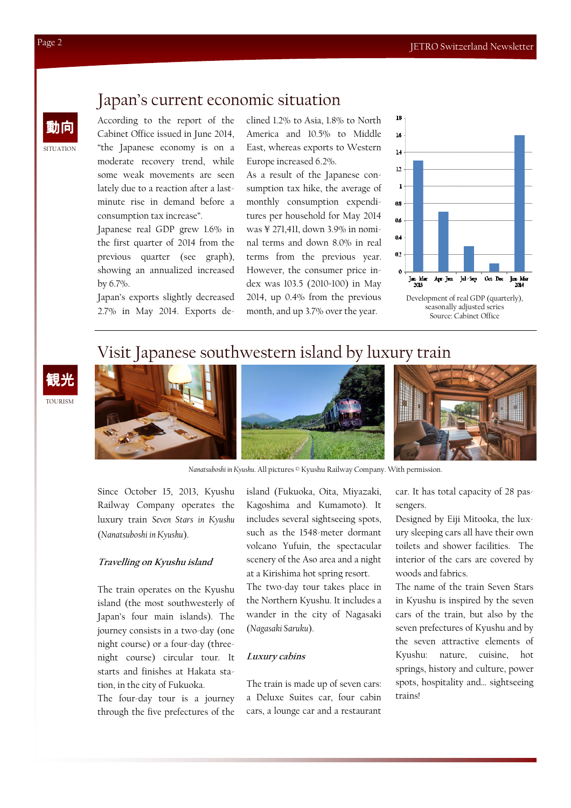# Japan's current economic situation

According to the report of the Cabinet Office issued in June 2014, "the Japanese economy is on a moderate recovery trend, while some weak movements are seen lately due to a reaction after a lastminute rise in demand before a consumption tax increase".

Japanese real GDP grew 1.6% in the first quarter of 2014 from the previous quarter (see graph), showing an annualized increased by 6.7%.

Japan's exports slightly decreased 2.7% in May 2014. Exports declined 1.2% to Asia, 1.8% to North America and 10.5% to Middle East, whereas exports to Western Europe increased 6.2%.

As a result of the Japanese consumption tax hike, the average of monthly consumption expenditures per household for May 2014 was ¥ 271,411, down 3.9% in nominal terms and down 8.0% in real terms from the previous year. However, the consumer price index was 103.5 (2010=100) in May 2014, up 0.4% from the previous month, and up 3.7% over the year.



Development of real GDP (quarterly), seasonally adjusted series Source: Cabinet Office

### Visit Japanese southwestern island by luxury train





Nanatsuboshi in Kyushu. All pictures © Kyushu Railway Company. With permission.

Since October 15, 2013, Kyushu Railway Company operates the luxury train Seven Stars in Kyushu (Nanatsuboshi in Kyushu).

#### Travelling on Kyushu island

The train operates on the Kyushu island (the most southwesterly of Japan's four main islands). The journey consists in a two-day (one night course) or a four-day (threenight course) circular tour. It starts and finishes at Hakata station, in the city of Fukuoka.

The four-day tour is a journey through the five prefectures of the island (Fukuoka, Oita, Miyazaki, Kagoshima and Kumamoto). It includes several sightseeing spots, such as the 1548-meter dormant volcano Yufuin, the spectacular scenery of the Aso area and a night at a Kirishima hot spring resort. The two-day tour takes place in

the Northern Kyushu. It includes a wander in the city of Nagasaki (Nagasaki Saruku).

#### Luxury cabins

The train is made up of seven cars: a Deluxe Suites car, four cabin cars, a lounge car and a restaurant

car. It has total capacity of 28 passengers.

Designed by Eiji Mitooka, the luxury sleeping cars all have their own toilets and shower facilities. The interior of the cars are covered by woods and fabrics.

The name of the train Seven Stars in Kyushu is inspired by the seven cars of the train, but also by the seven prefectures of Kyushu and by the seven attractive elements of Kyushu: nature, cuisine, hot springs, history and culture, power spots, hospitality and… sightseeing trains!

**SITUATION** 

動向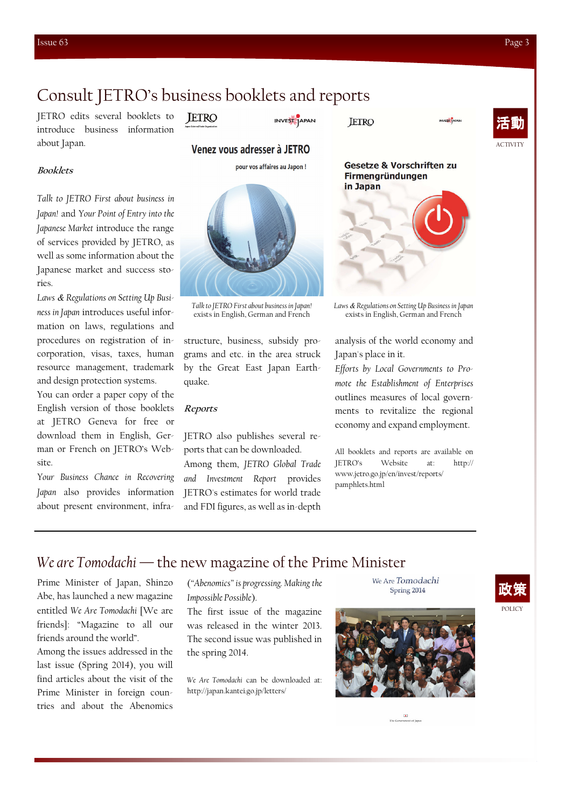# Consult JETRO's business booklets and reports

JETRO edits several booklets to **JETRO** introduce business information about Japan.

Venez vous adresser à JETRO

pour vos affaires au Japon!

INVEST JAPAN

**JETRO** 



#### Booklets

Talk to JETRO First about business in Japan! and Your Point of Entry into the Japanese Market introduce the range of services provided by JETRO, as well as some information about the Japanese market and success stories.

Laws *&* Regulations on Setting Up Business in Japan introduces useful information on laws, regulations and procedures on registration of incorporation, visas, taxes, human resource management, trademark and design protection systems.

You can order a paper copy of the English version of those booklets at JETRO Geneva for free or download them in English, German or French on JETRO's Website.

Your Business Chance in Recovering Japan also provides information about present environment, infra-



Talk to JETRO First about business in Japan! exists in English, German and French

structure, business, subsidy programs and etc. in the area struck by the Great East Japan Earthquake.

#### Reports

JETRO also publishes several reports that can be downloaded. Among them, JETRO Global Trade and Investment Report provides JETRO's estimates for world trade and FDI figures, as well as in-depth



Laws *&* Regulations on Setting Up Business in Japan exists in English, German and French

analysis of the world economy and Japan's place in it.

Efforts by Local Governments to Promote the Establishment of Enterprises outlines measures of local governments to revitalize the regional economy and expand employment.

All booklets and reports are available on JETRO's Website at: http:// www.jetro.go.jp/en/invest/reports/ pamphlets.html

### We are Tomodachi — the new magazine of the Prime Minister

Prime Minister of Japan, Shinzo Abe, has launched a new magazine entitled We Are Tomodachi [We are friends]: "Magazine to all our friends around the world".

Among the issues addressed in the last issue (Spring 2014), you will find articles about the visit of the Prime Minister in foreign countries and about the Abenomics

("Abenomics" is progressing. Making the Impossible Possible).

The first issue of the magazine was released in the winter 2013. The second issue was published in the spring 2014.

We Are Tomodachi can be downloaded at: http://japan.kantei.go.jp/letters/



We Are Tomodachi Spring 2014

 $\bullet$